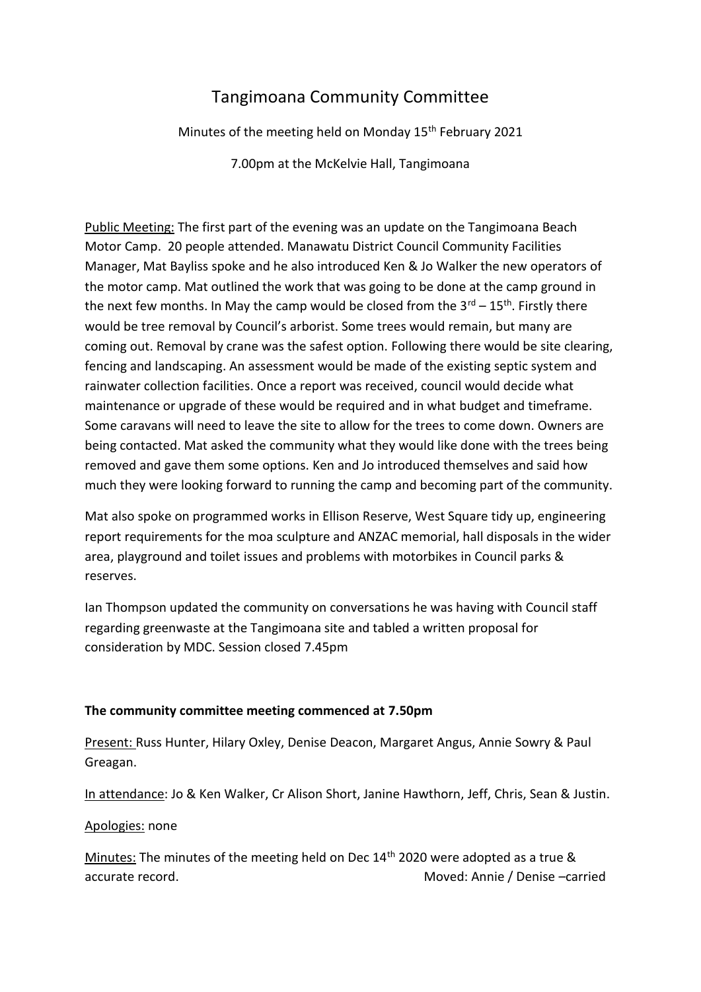# Tangimoana Community Committee

Minutes of the meeting held on Monday 15<sup>th</sup> February 2021

7.00pm at the McKelvie Hall, Tangimoana

Public Meeting: The first part of the evening was an update on the Tangimoana Beach Motor Camp. 20 people attended. Manawatu District Council Community Facilities Manager, Mat Bayliss spoke and he also introduced Ken & Jo Walker the new operators of the motor camp. Mat outlined the work that was going to be done at the camp ground in the next few months. In May the camp would be closed from the  $3^{rd} - 15^{th}$ . Firstly there would be tree removal by Council's arborist. Some trees would remain, but many are coming out. Removal by crane was the safest option. Following there would be site clearing, fencing and landscaping. An assessment would be made of the existing septic system and rainwater collection facilities. Once a report was received, council would decide what maintenance or upgrade of these would be required and in what budget and timeframe. Some caravans will need to leave the site to allow for the trees to come down. Owners are being contacted. Mat asked the community what they would like done with the trees being removed and gave them some options. Ken and Jo introduced themselves and said how much they were looking forward to running the camp and becoming part of the community.

Mat also spoke on programmed works in Ellison Reserve, West Square tidy up, engineering report requirements for the moa sculpture and ANZAC memorial, hall disposals in the wider area, playground and toilet issues and problems with motorbikes in Council parks & reserves.

Ian Thompson updated the community on conversations he was having with Council staff regarding greenwaste at the Tangimoana site and tabled a written proposal for consideration by MDC. Session closed 7.45pm

# **The community committee meeting commenced at 7.50pm**

Present: Russ Hunter, Hilary Oxley, Denise Deacon, Margaret Angus, Annie Sowry & Paul Greagan.

In attendance: Jo & Ken Walker, Cr Alison Short, Janine Hawthorn, Jeff, Chris, Sean & Justin.

# Apologies: none

Minutes: The minutes of the meeting held on Dec 14<sup>th</sup> 2020 were adopted as a true & accurate record. Moved: Annie / Denise –carried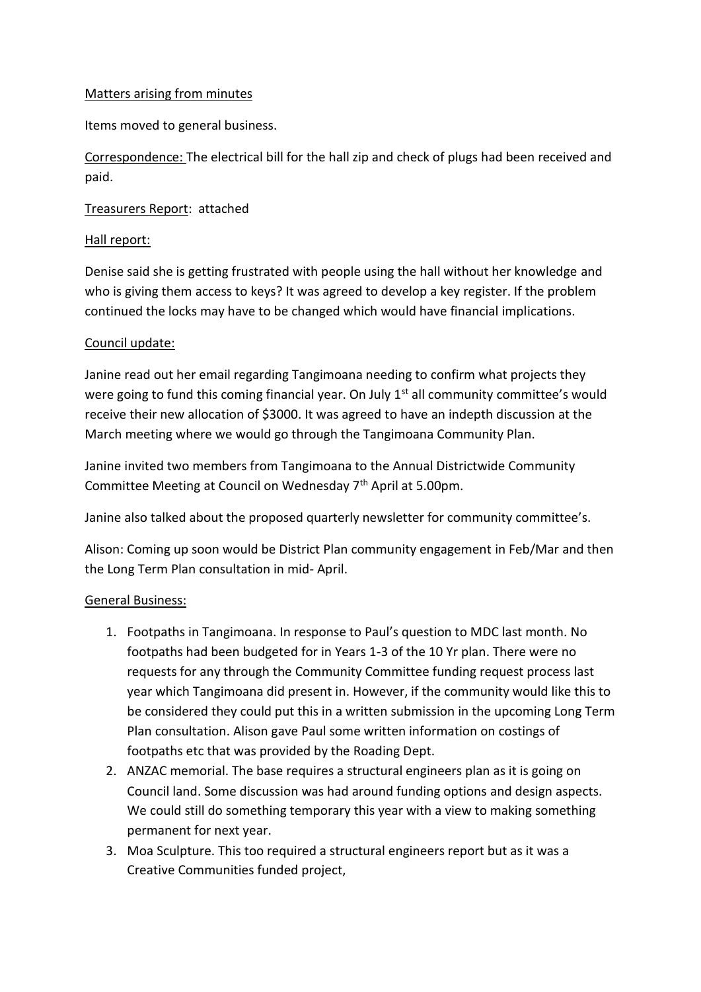## Matters arising from minutes

Items moved to general business.

Correspondence: The electrical bill for the hall zip and check of plugs had been received and paid.

## Treasurers Report: attached

#### Hall report:

Denise said she is getting frustrated with people using the hall without her knowledge and who is giving them access to keys? It was agreed to develop a key register. If the problem continued the locks may have to be changed which would have financial implications.

#### Council update:

Janine read out her email regarding Tangimoana needing to confirm what projects they were going to fund this coming financial year. On July  $1<sup>st</sup>$  all community committee's would receive their new allocation of \$3000. It was agreed to have an indepth discussion at the March meeting where we would go through the Tangimoana Community Plan.

Janine invited two members from Tangimoana to the Annual Districtwide Community Committee Meeting at Council on Wednesday 7<sup>th</sup> April at 5.00pm.

Janine also talked about the proposed quarterly newsletter for community committee's.

Alison: Coming up soon would be District Plan community engagement in Feb/Mar and then the Long Term Plan consultation in mid- April.

#### General Business:

- 1. Footpaths in Tangimoana. In response to Paul's question to MDC last month. No footpaths had been budgeted for in Years 1-3 of the 10 Yr plan. There were no requests for any through the Community Committee funding request process last year which Tangimoana did present in. However, if the community would like this to be considered they could put this in a written submission in the upcoming Long Term Plan consultation. Alison gave Paul some written information on costings of footpaths etc that was provided by the Roading Dept.
- 2. ANZAC memorial. The base requires a structural engineers plan as it is going on Council land. Some discussion was had around funding options and design aspects. We could still do something temporary this year with a view to making something permanent for next year.
- 3. Moa Sculpture. This too required a structural engineers report but as it was a Creative Communities funded project,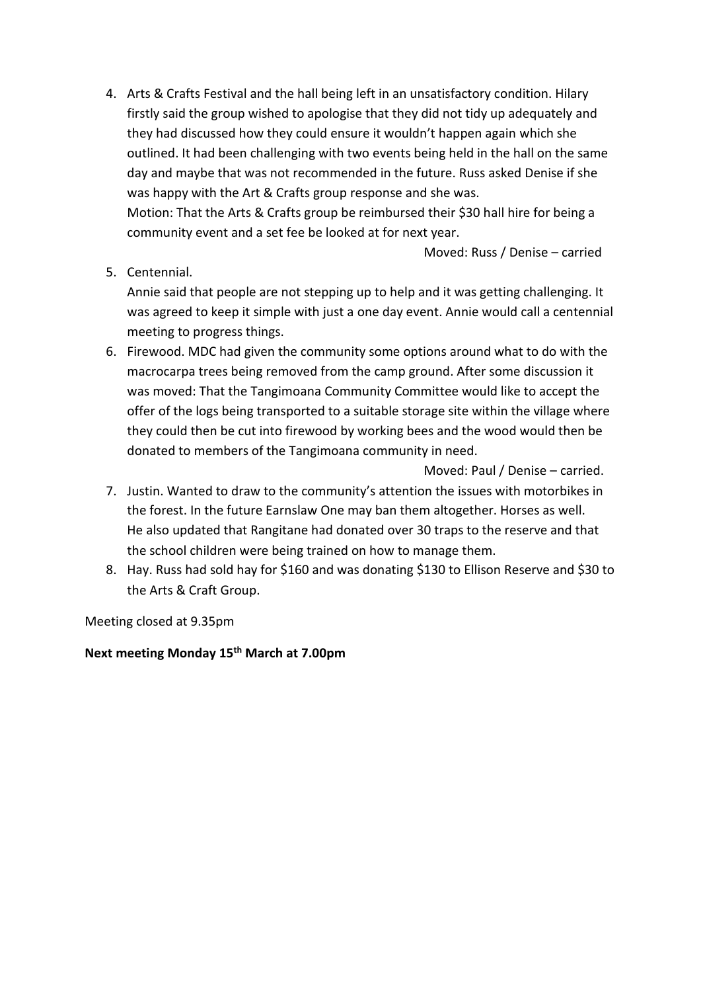4. Arts & Crafts Festival and the hall being left in an unsatisfactory condition. Hilary firstly said the group wished to apologise that they did not tidy up adequately and they had discussed how they could ensure it wouldn't happen again which she outlined. It had been challenging with two events being held in the hall on the same day and maybe that was not recommended in the future. Russ asked Denise if she was happy with the Art & Crafts group response and she was. Motion: That the Arts & Crafts group be reimbursed their \$30 hall hire for being a community event and a set fee be looked at for next year.

Moved: Russ / Denise – carried

5. Centennial.

Annie said that people are not stepping up to help and it was getting challenging. It was agreed to keep it simple with just a one day event. Annie would call a centennial meeting to progress things.

6. Firewood. MDC had given the community some options around what to do with the macrocarpa trees being removed from the camp ground. After some discussion it was moved: That the Tangimoana Community Committee would like to accept the offer of the logs being transported to a suitable storage site within the village where they could then be cut into firewood by working bees and the wood would then be donated to members of the Tangimoana community in need.

Moved: Paul / Denise – carried.

- 7. Justin. Wanted to draw to the community's attention the issues with motorbikes in the forest. In the future Earnslaw One may ban them altogether. Horses as well. He also updated that Rangitane had donated over 30 traps to the reserve and that the school children were being trained on how to manage them.
- 8. Hay. Russ had sold hay for \$160 and was donating \$130 to Ellison Reserve and \$30 to the Arts & Craft Group.

Meeting closed at 9.35pm

**Next meeting Monday 15th March at 7.00pm**